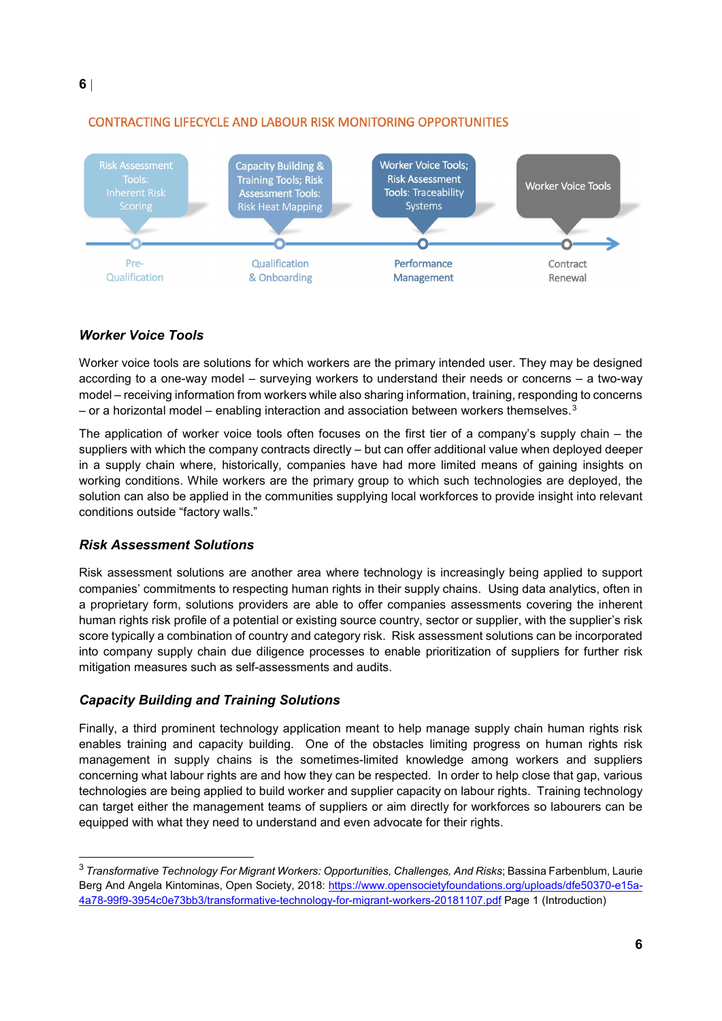

## **CONTRACTING LIFECYCLE AND LABOUR RISK MONITORING OPPORTUNITIES**

## *Worker Voice Tools*

Worker voice tools are solutions for which workers are the primary intended user. They may be designed according to a one-way model – surveying workers to understand their needs or concerns – a two-way model – receiving information from workers while also sharing information, training, responding to concerns – or a horizontal model – enabling interaction and association between workers themselves. $3$ 

In the company contracts directly – but can offer additional value whe<br>where, historically, companies have had more limited means of (<br>Draft While workers are the primary group to which such technologies<br>e applied in the c The application of worker voice tools often focuses on the first tier of a company's supply chain – the suppliers with which the company contracts directly – but can offer additional value when deployed deeper in a supply chain where, historically, companies have had more limited means of gaining insights on working conditions. While workers are the primary group to which such technologies are deployed, the solution can also be applied in the communities supplying local workforces to provide insight into relevant conditions outside "factory walls."

## *Risk Assessment Solutions*

 $\overline{a}$ 

Risk assessment solutions are another area where technology is increasingly being applied to support companies' commitments to respecting human rights in their supply chains. Using data analytics, often in a proprietary form, solutions providers are able to offer companies assessments covering the inherent human rights risk profile of a potential or existing source country, sector or supplier, with the supplier's risk score typically a combination of country and category risk. Risk assessment solutions can be incorporated into company supply chain due diligence processes to enable prioritization of suppliers for further risk mitigation measures such as self-assessments and audits.

## *Capacity Building and Training Solutions*

Finally, a third prominent technology application meant to help manage supply chain human rights risk enables training and capacity building. One of the obstacles limiting progress on human rights risk management in supply chains is the sometimes-limited knowledge among workers and suppliers concerning what labour rights are and how they can be respected. In order to help close that gap, various technologies are being applied to build worker and supplier capacity on labour rights. Training technology can target either the management teams of suppliers or aim directly for workforces so labourers can be equipped with what they need to understand and even advocate for their rights.

<span id="page-5-0"></span><sup>3</sup> *Transformative Technology For Migrant Workers: Opportunities, Challenges, And Risks*; Bassina Farbenblum, Laurie Berg And Angela Kintominas, Open Society, 2018: [https://www.opensocietyfoundations.org/uploads/dfe50370-e15a-](https://www.opensocietyfoundations.org/uploads/dfe50370-e15a-4a78-99f9-3954c0e73bb3/transformative-technology-for-migrant-workers-20181107.pdf)[4a78-99f9-3954c0e73bb3/transformative-technology-for-migrant-workers-20181107.pdf](https://www.opensocietyfoundations.org/uploads/dfe50370-e15a-4a78-99f9-3954c0e73bb3/transformative-technology-for-migrant-workers-20181107.pdf) Page 1 (Introduction)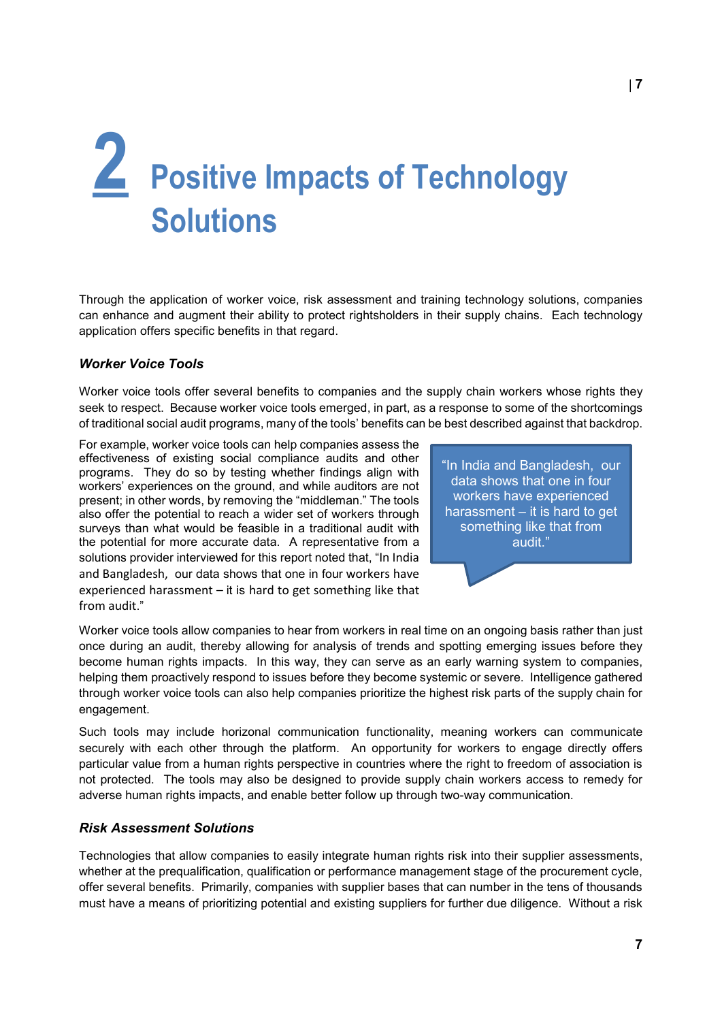## **2 Positive Impacts of Technology Solutions**

Through the application of worker voice, risk assessment and training technology solutions, companies can enhance and augment their ability to protect rightsholders in their supply chains. Each technology application offers specific benefits in that regard.

## *Worker Voice Tools*

Worker voice tools offer several benefits to companies and the supply chain workers whose rights they seek to respect. Because worker voice tools emerged, in part, as a response to some of the shortcomings of traditional social audit programs, many of the tools' benefits can be best described against that backdrop.

existing social compliance audits and other<br>
lo so by testing whether findings align with<br>
es on the ground, and while auditors are not<br>
ords, by removing the "middleman." The tools<br>
that a shows that<br>
would be feasible in For example, worker voice tools can help companies assess the effectiveness of existing social compliance audits and other programs. They do so by testing whether findings align with workers' experiences on the ground, and while auditors are not present; in other words, by removing the "middleman." The tools also offer the potential to reach a wider set of workers through surveys than what would be feasible in a traditional audit with the potential for more accurate data. A representative from a solutions provider interviewed for this report noted that, "In India and Bangladesh, our data shows that one in four workers have experienced harassment – it is hard to get something like that from audit."

"In India and Bangladesh, our data shows that one in four workers have experienced harassment – it is hard to get something like that from audit."

Worker voice tools allow companies to hear from workers in real time on an ongoing basis rather than just once during an audit, thereby allowing for analysis of trends and spotting emerging issues before they become human rights impacts. In this way, they can serve as an early warning system to companies, helping them proactively respond to issues before they become systemic or severe. Intelligence gathered through worker voice tools can also help companies prioritize the highest risk parts of the supply chain for engagement.

Such tools may include horizonal communication functionality, meaning workers can communicate securely with each other through the platform. An opportunity for workers to engage directly offers particular value from a human rights perspective in countries where the right to freedom of association is not protected. The tools may also be designed to provide supply chain workers access to remedy for adverse human rights impacts, and enable better follow up through two-way communication.

## *Risk Assessment Solutions*

Technologies that allow companies to easily integrate human rights risk into their supplier assessments, whether at the prequalification, qualification or performance management stage of the procurement cycle, offer several benefits. Primarily, companies with supplier bases that can number in the tens of thousands must have a means of prioritizing potential and existing suppliers for further due diligence. Without a risk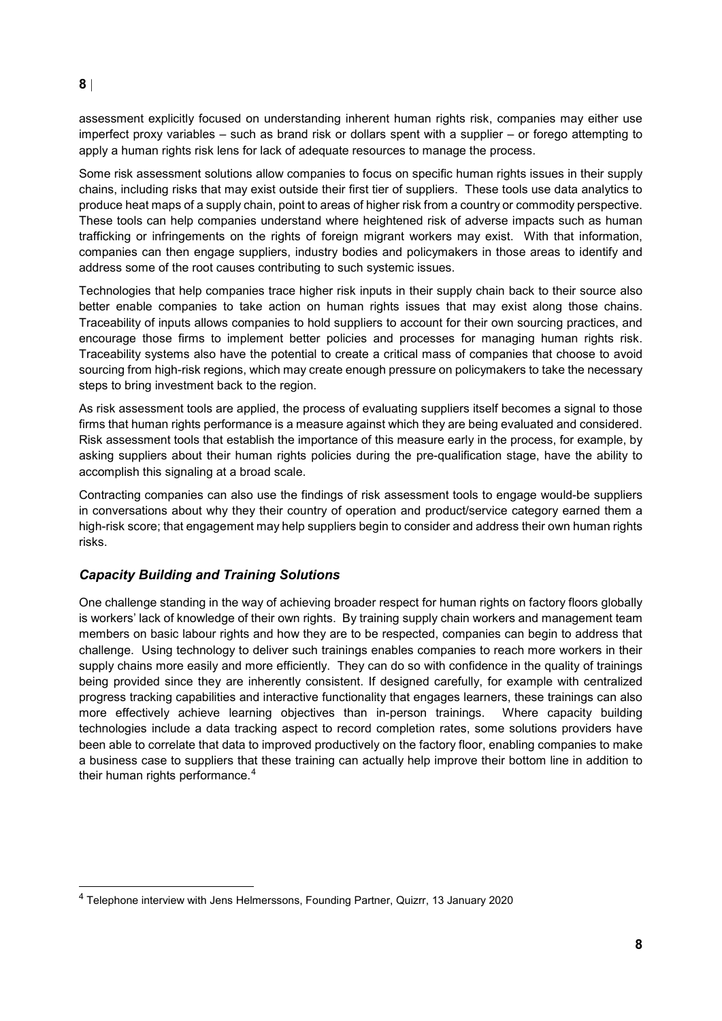## **8** |

 $\overline{a}$ 

assessment explicitly focused on understanding inherent human rights risk, companies may either use imperfect proxy variables – such as brand risk or dollars spent with a supplier – or forego attempting to apply a human rights risk lens for lack of adequate resources to manage the process.

Some risk assessment solutions allow companies to focus on specific human rights issues in their supply chains, including risks that may exist outside their first tier of suppliers. These tools use data analytics to produce heat maps of a supply chain, point to areas of higher risk from a country or commodity perspective. These tools can help companies understand where heightened risk of adverse impacts such as human trafficking or infringements on the rights of foreign migrant workers may exist. With that information, companies can then engage suppliers, industry bodies and policymakers in those areas to identify and address some of the root causes contributing to such systemic issues.

Technologies that help companies trace higher risk inputs in their supply chain back to their source also better enable companies to take action on human rights issues that may exist along those chains. Traceability of inputs allows companies to hold suppliers to account for their own sourcing practices, and encourage those firms to implement better policies and processes for managing human rights risk. Traceability systems also have the potential to create a critical mass of companies that choose to avoid sourcing from high-risk regions, which may create enough pressure on policymakers to take the necessary steps to bring investment back to the region.

As risk assessment tools are applied, the process of evaluating suppliers itself becomes a signal to those firms that human rights performance is a measure against which they are being evaluated and considered. Risk assessment tools that establish the importance of this measure early in the process, for example, by asking suppliers about their human rights policies during the pre-qualification stage, have the ability to accomplish this signaling at a broad scale.

bout their human rights policies during the pre-qualification stage,<br>naling at a broad scale.<br>mies can also use the findings of risk assessment tools to engage<br>bout why they their country of operation and product/service c Contracting companies can also use the findings of risk assessment tools to engage would-be suppliers in conversations about why they their country of operation and product/service category earned them a high-risk score; that engagement may help suppliers begin to consider and address their own human rights risks.

## *Capacity Building and Training Solutions*

One challenge standing in the way of achieving broader respect for human rights on factory floors globally is workers' lack of knowledge of their own rights. By training supply chain workers and management team members on basic labour rights and how they are to be respected, companies can begin to address that challenge. Using technology to deliver such trainings enables companies to reach more workers in their supply chains more easily and more efficiently. They can do so with confidence in the quality of trainings being provided since they are inherently consistent. If designed carefully, for example with centralized progress tracking capabilities and interactive functionality that engages learners, these trainings can also more effectively achieve learning objectives than in-person trainings. Where capacity building technologies include a data tracking aspect to record completion rates, some solutions providers have been able to correlate that data to improved productively on the factory floor, enabling companies to make a business case to suppliers that these training can actually help improve their bottom line in addition to their human rights performance. [4](#page-7-0)

<span id="page-7-0"></span><sup>4</sup> Telephone interview with Jens Helmerssons, Founding Partner, Quizrr, 13 January 2020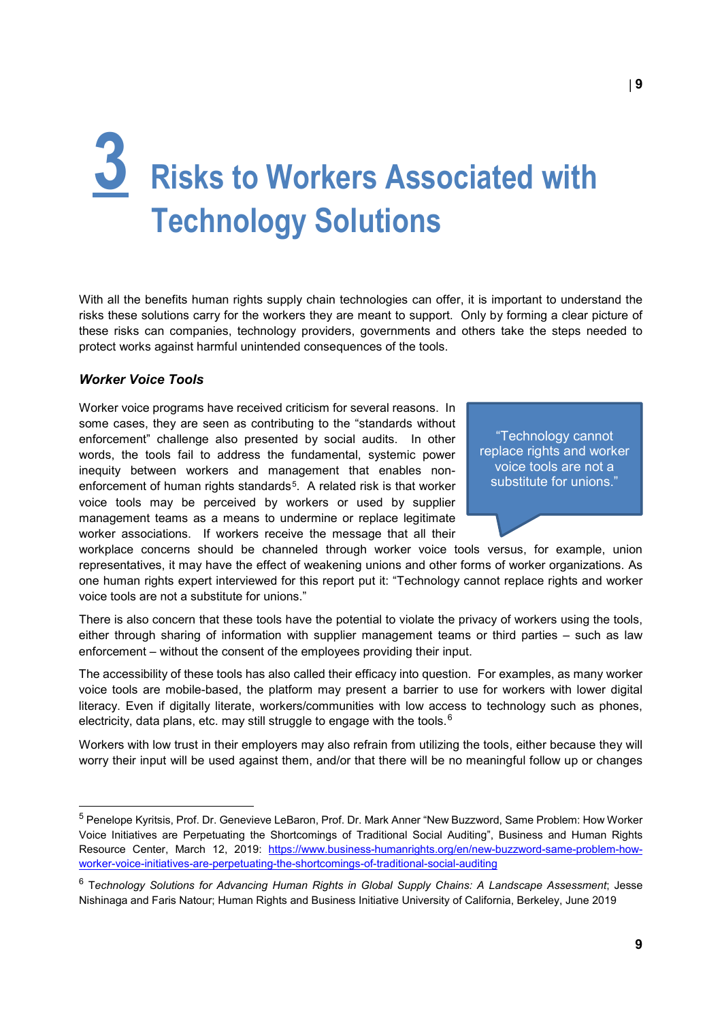## **3 Risks to Workers Associated with Technology Solutions**

With all the benefits human rights supply chain technologies can offer, it is important to understand the risks these solutions carry for the workers they are meant to support. Only by forming a clear picture of these risks can companies, technology providers, governments and others take the steps needed to protect works against harmful unintended consequences of the tools.

### *Worker Voice Tools*

 $\overline{a}$ 

Figure also presented by social addits. In other<br>
fail to address the fundamental, systemic power<br>
man rights standards<sup>5</sup>. A related risk is that worker<br>
be perceived by workers or used by supplier<br>
is as a means to under Worker voice programs have received criticism for several reasons. In some cases, they are seen as contributing to the "standards without enforcement" challenge also presented by social audits. In other words, the tools fail to address the fundamental, systemic power inequity between workers and management that enables nonenforcement of human rights standards<sup>5</sup>. A related risk is that worker voice tools may be perceived by workers or used by supplier management teams as a means to undermine or replace legitimate worker associations. If workers receive the message that all their

"Technology cannot replace rights and worker voice tools are not a substitute for unions."

workplace concerns should be channeled through worker voice tools versus, for example, union representatives, it may have the effect of weakening unions and other forms of worker organizations. As one human rights expert interviewed for this report put it: "Technology cannot replace rights and worker voice tools are not a substitute for unions."

There is also concern that these tools have the potential to violate the privacy of workers using the tools, either through sharing of information with supplier management teams or third parties – such as law enforcement – without the consent of the employees providing their input.

The accessibility of these tools has also called their efficacy into question. For examples, as many worker voice tools are mobile-based, the platform may present a barrier to use for workers with lower digital literacy. Even if digitally literate, workers/communities with low access to technology such as phones, electricity, data plans, etc. may still struggle to engage with the tools. $^6$  $^6$ 

Workers with low trust in their employers may also refrain from utilizing the tools, either because they will worry their input will be used against them, and/or that there will be no meaningful follow up or changes

<span id="page-8-0"></span><sup>5</sup> Penelope Kyritsis, Prof. Dr. Genevieve LeBaron, Prof. Dr. Mark Anner "New Buzzword, Same Problem: How Worker Voice Initiatives are Perpetuating the Shortcomings of Traditional Social Auditing", Business and Human Rights Resource Center, March 12, 2019: [https://www.business-humanrights.org/en/new-buzzword-same-problem-how](https://www.business-humanrights.org/en/new-buzzword-same-problem-how-worker-voice-initiatives-are-perpetuating-the-shortcomings-of-traditional-social-auditing)[worker-voice-initiatives-are-perpetuating-the-shortcomings-of-traditional-social-auditing](https://www.business-humanrights.org/en/new-buzzword-same-problem-how-worker-voice-initiatives-are-perpetuating-the-shortcomings-of-traditional-social-auditing) 

<span id="page-8-1"></span><sup>6</sup> T*echnology Solutions for Advancing Human Rights in Global Supply Chains: A Landscape Assessment*; Jesse Nishinaga and Faris Natour; Human Rights and Business Initiative University of California, Berkeley, June 2019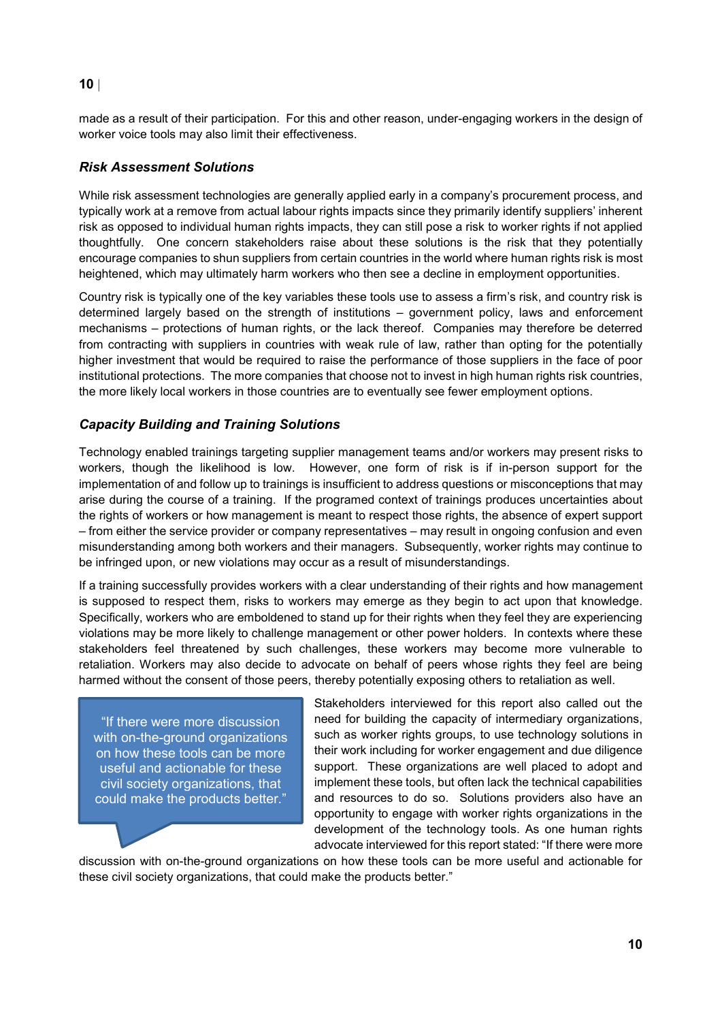## **10** |

made as a result of their participation. For this and other reason, under-engaging workers in the design of worker voice tools may also limit their effectiveness.

## *Risk Assessment Solutions*

While risk assessment technologies are generally applied early in a company's procurement process, and typically work at a remove from actual labour rights impacts since they primarily identify suppliers' inherent risk as opposed to individual human rights impacts, they can still pose a risk to worker rights if not applied thoughtfully. One concern stakeholders raise about these solutions is the risk that they potentially encourage companies to shun suppliers from certain countries in the world where human rights risk is most heightened, which may ultimately harm workers who then see a decline in employment opportunities.

Country risk is typically one of the key variables these tools use to assess a firm's risk, and country risk is determined largely based on the strength of institutions – government policy, laws and enforcement mechanisms – protections of human rights, or the lack thereof. Companies may therefore be deterred from contracting with suppliers in countries with weak rule of law, rather than opting for the potentially higher investment that would be required to raise the performance of those suppliers in the face of poor institutional protections. The more companies that choose not to invest in high human rights risk countries, the more likely local workers in those countries are to eventually see fewer employment options.

## *Capacity Building and Training Solutions*

d trainings targeting supplier management teams and/or workers m<br>he likelihood is low. However, one form of risk is if in-perso<br>and follow up to trainings is insufficient to address questions or misco<br>urse of a training. I Technology enabled trainings targeting supplier management teams and/or workers may present risks to workers, though the likelihood is low. However, one form of risk is if in-person support for the implementation of and follow up to trainings is insufficient to address questions or misconceptions that may arise during the course of a training. If the programed context of trainings produces uncertainties about the rights of workers or how management is meant to respect those rights, the absence of expert support – from either the service provider or company representatives – may result in ongoing confusion and even misunderstanding among both workers and their managers. Subsequently, worker rights may continue to be infringed upon, or new violations may occur as a result of misunderstandings.

If a training successfully provides workers with a clear understanding of their rights and how management is supposed to respect them, risks to workers may emerge as they begin to act upon that knowledge. Specifically, workers who are emboldened to stand up for their rights when they feel they are experiencing violations may be more likely to challenge management or other power holders. In contexts where these stakeholders feel threatened by such challenges, these workers may become more vulnerable to retaliation. Workers may also decide to advocate on behalf of peers whose rights they feel are being harmed without the consent of those peers, thereby potentially exposing others to retaliation as well.

"If there were more discussion with on-the-ground organizations on how these tools can be more useful and actionable for these civil society organizations, that could make the products better."

Stakeholders interviewed for this report also called out the need for building the capacity of intermediary organizations, such as worker rights groups, to use technology solutions in their work including for worker engagement and due diligence support. These organizations are well placed to adopt and implement these tools, but often lack the technical capabilities and resources to do so. Solutions providers also have an opportunity to engage with worker rights organizations in the development of the technology tools. As one human rights advocate interviewed for this report stated: "If there were more

discussion with on-the-ground organizations on how these tools can be more useful and actionable for these civil society organizations, that could make the products better."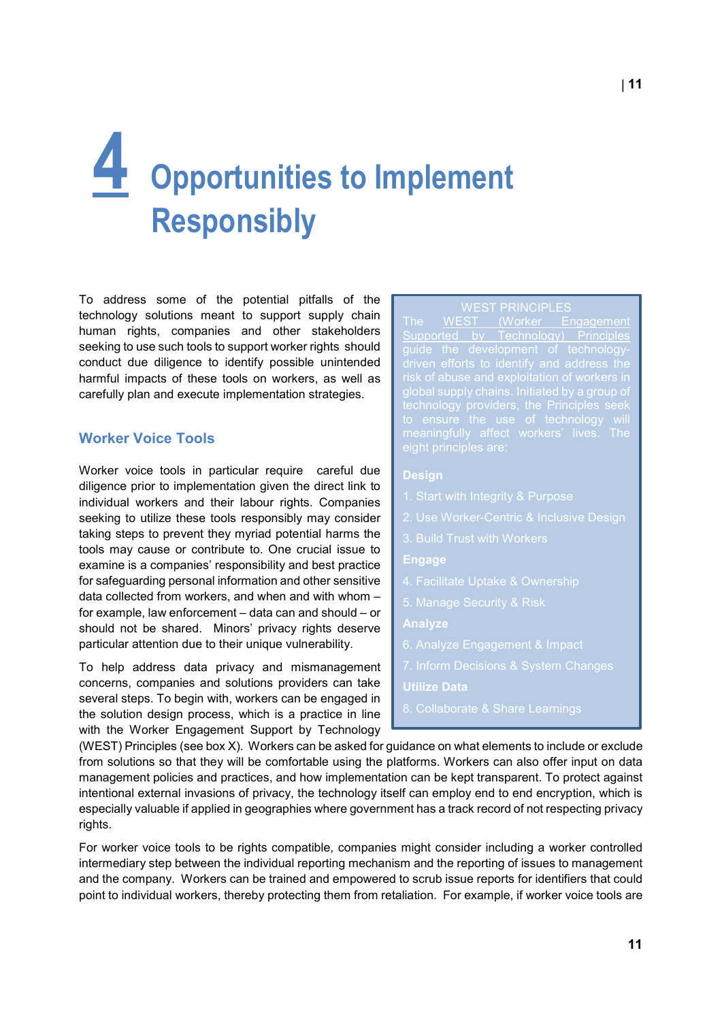## **4 Opportunities to Implement Responsibly**

To address some of the potential pitfalls of the technology solutions meant to support supply chain human rights, companies and other stakeholders seeking to use such tools to support worker rights should conduct due diligence to identify possible unintended harmful impacts of these tools on workers, as well as carefully plan and execute implementation strategies.

## **Worker Voice Tools**

eight principles are:<br> **Solution**<br> **Solution**<br> **Solution**<br> **Solution**<br> **Solution**<br> **Solution**<br> **Solution**<br> **Solution**<br> **Solution**<br> **Solution**<br> **Examplementation are structure in the principles are:<br>
<b>Solution**<br> **Examplemen** Worker voice tools in particular require careful due diligence prior to implementation given the direct link to individual workers and their labour rights. Companies seeking to utilize these tools responsibly may consider taking steps to prevent they myriad potential harms the tools may cause or contribute to. One crucial issue to examine is a companies' responsibility and best practice for safeguarding personal information and other sensitive data collected from workers, and when and with whom – for example, law enforcement – data can and should – or should not be shared. Minors' privacy rights deserve particular attention due to their unique vulnerability.

To help address data privacy and mismanagement concerns, companies and solutions providers can take several steps. To begin with, workers can be engaged in the solution design process, which is a practice in line with the Worker Engagement Support by Technology

The [WEST \(Worker Engagement](https://westprinciples.org/about/)  [Supported by Technology\) Principles](https://westprinciples.org/about/) global supply chains. Initiated by a group of

### **Design**

- 
- 
- 
- **Engage**
- 4. Facilitate Uptake & Ownership
- 5. Manage Security & Risk

**Analyze**

- 
- 
- **Utilize Data**
- 

(WEST) Principles (see box X). Workers can be asked for guidance on what elements to include or exclude from solutions so that they will be comfortable using the platforms. Workers can also offer input on data management policies and practices, and how implementation can be kept transparent. To protect against intentional external invasions of privacy, the technology itself can employ end to end encryption, which is especially valuable if applied in geographies where government has a track record of not respecting privacy rights.

For worker voice tools to be rights compatible, companies might consider including a worker controlled intermediary step between the individual reporting mechanism and the reporting of issues to management and the company. Workers can be trained and empowered to scrub issue reports for identifiers that could point to individual workers, thereby protecting them from retaliation. For example, if worker voice tools are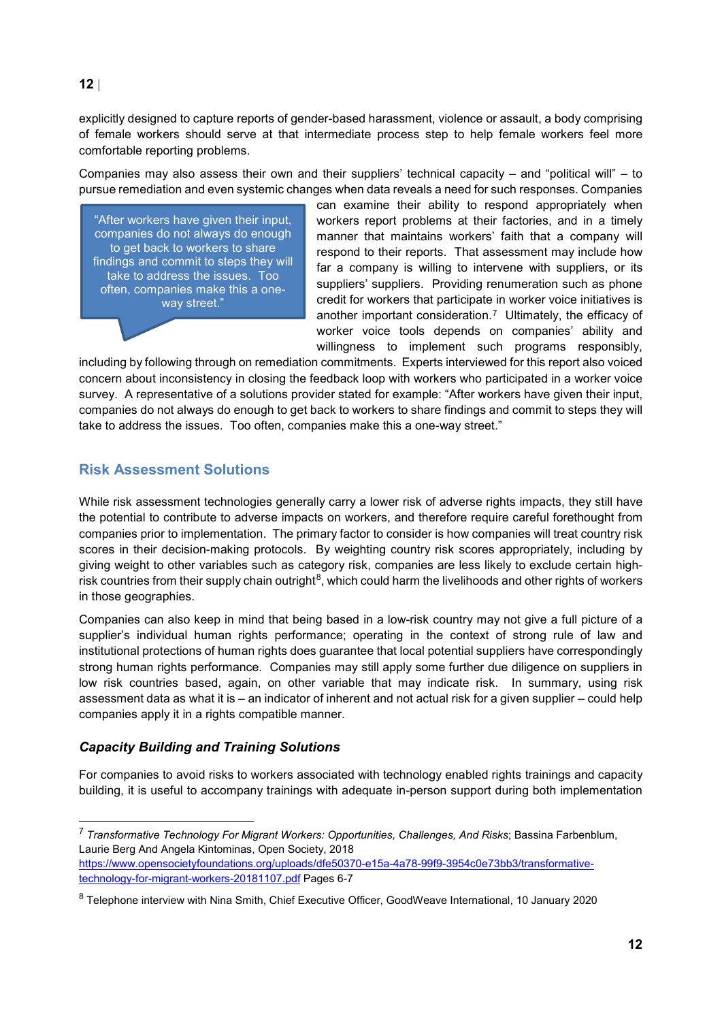## **12** |

explicitly designed to capture reports of gender-based harassment, violence or assault, a body comprising of female workers should serve at that intermediate process step to help female workers feel more comfortable reporting problems.

Companies may also assess their own and their suppliers' technical capacity – and "political will" – to pursue remediation and even systemic changes when data reveals a need for such responses. Companies

"After workers have given their input, companies do not always do enough to get back to workers to share findings and commit to steps they will take to address the issues. Too often, companies make this a oneway street."

can examine their ability to respond appropriately when workers report problems at their factories, and in a timely manner that maintains workers' faith that a company will respond to their reports. That assessment may include how far a company is willing to intervene with suppliers, or its suppliers' suppliers. Providing renumeration such as phone credit for workers that participate in worker voice initiatives is another important consideration.[7](#page-11-0) Ultimately, the efficacy of worker voice tools depends on companies' ability and willingness to implement such programs responsibly,

including by following through on remediation commitments. Experts interviewed for this report also voiced concern about inconsistency in closing the feedback loop with workers who participated in a worker voice survey. A representative of a solutions provider stated for example: "After workers have given their input, companies do not always do enough to get back to workers to share findings and commit to steps they will take to address the issues. Too often, companies make this a one-way street."

## **Risk Assessment Solutions**

ent Solutions<b[r](#page-11-1)>nent technologies generally carry a lower risk of adverse rights impertribute to adverse impacts on workers, and therefore require caref<br>implementation. The primary factor to consider is how companies w<br>ision While risk assessment technologies generally carry a lower risk of adverse rights impacts, they still have the potential to contribute to adverse impacts on workers, and therefore require careful forethought from companies prior to implementation. The primary factor to consider is how companies will treat country risk scores in their decision-making protocols. By weighting country risk scores appropriately, including by giving weight to other variables such as category risk, companies are less likely to exclude certain highrisk countries from their supply chain outright $^8$ , which could harm the livelihoods and other rights of workers in those geographies.

Companies can also keep in mind that being based in a low-risk country may not give a full picture of a supplier's individual human rights performance; operating in the context of strong rule of law and institutional protections of human rights does guarantee that local potential suppliers have correspondingly strong human rights performance. Companies may still apply some further due diligence on suppliers in low risk countries based, again, on other variable that may indicate risk. In summary, using risk assessment data as what it is – an indicator of inherent and not actual risk for a given supplier – could help companies apply it in a rights compatible manner.

## *Capacity Building and Training Solutions*

 $\overline{a}$ 

For companies to avoid risks to workers associated with technology enabled rights trainings and capacity building, it is useful to accompany trainings with adequate in-person support during both implementation

<span id="page-11-0"></span><sup>7</sup> *Transformative Technology For Migrant Workers: Opportunities, Challenges, And Risks*; Bassina Farbenblum, Laurie Berg And Angela Kintominas, Open Society, 2018 [https://www.opensocietyfoundations.org/uploads/dfe50370-e15a-4a78-99f9-3954c0e73bb3/transformative](https://www.opensocietyfoundations.org/uploads/dfe50370-e15a-4a78-99f9-3954c0e73bb3/transformative-technology-for-migrant-workers-20181107.pdf)[technology-for-migrant-workers-20181107.pdf](https://www.opensocietyfoundations.org/uploads/dfe50370-e15a-4a78-99f9-3954c0e73bb3/transformative-technology-for-migrant-workers-20181107.pdf) Pages 6-7

<span id="page-11-1"></span><sup>8</sup> Telephone interview with Nina Smith, Chief Executive Officer, GoodWeave International, 10 January 2020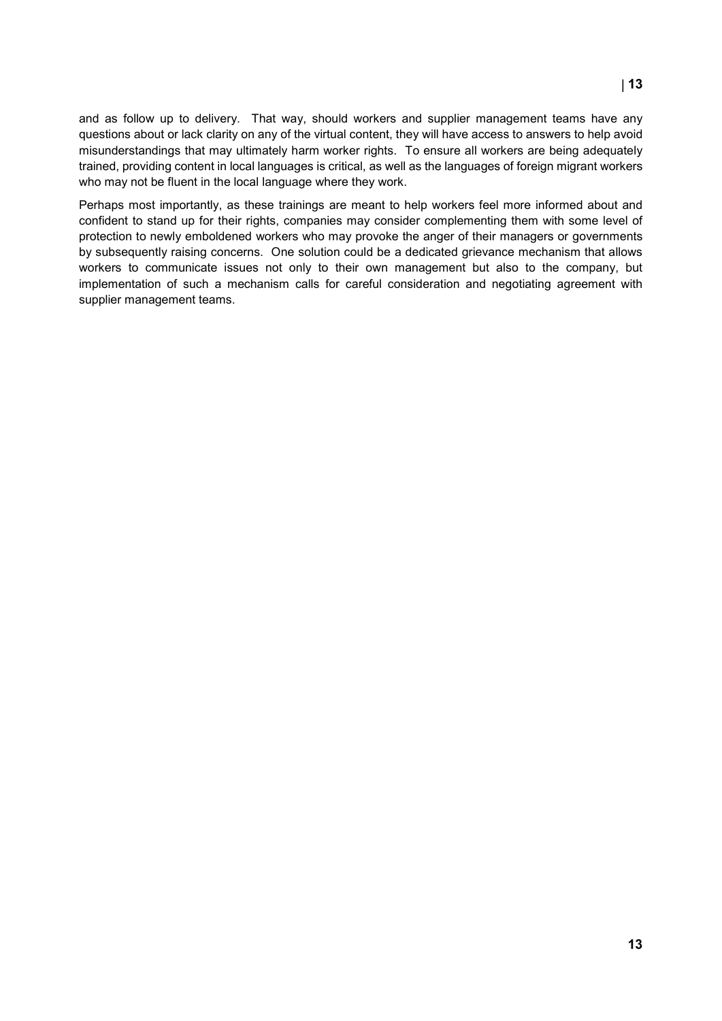and as follow up to delivery. That way, should workers and supplier management teams have any questions about or lack clarity on any of the virtual content, they will have access to answers to help avoid misunderstandings that may ultimately harm worker rights. To ensure all workers are being adequately trained, providing content in local languages is critical, as well as the languages of foreign migrant workers who may not be fluent in the local language where they work.

Perhaps most importantly, as these trainings are meant to help workers feel more informed about and confident to stand up for their rights, companies may consider complementing them with some level of protection to newly emboldened workers who may provoke the anger of their managers or governments by subsequently raising concerns. One solution could be a dedicated grievance mechanism that allows workers to communicate issues not only to their own management but also to the company, but implementation of such a mechanism calls for careful consideration and negotiating agreement with supplier management teams.

# Draft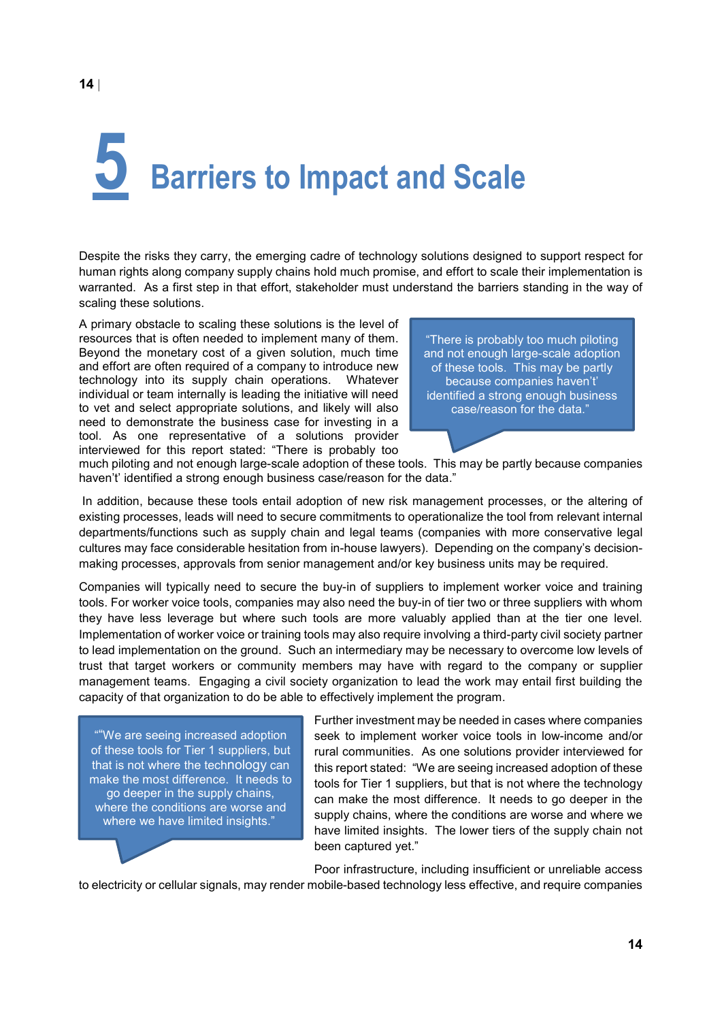## **5 Barriers to Impact and Scale**

Despite the risks they carry, the emerging cadre of technology solutions designed to support respect for human rights along company supply chains hold much promise, and effort to scale their implementation is warranted. As a first step in that effort, stakeholder must understand the barriers standing in the way of scaling these solutions.

A primary obstacle to scaling these solutions is the level of resources that is often needed to implement many of them. Beyond the monetary cost of a given solution, much time and effort are often required of a company to introduce new technology into its supply chain operations. Whatever individual or team internally is leading the initiative will need to vet and select appropriate solutions, and likely will also need to demonstrate the business case for investing in a tool. As one representative of a solutions provider interviewed for this report stated: "There is probably too

"There is probably too much piloting and not enough large-scale adoption of these tools. This may be partly because companies haven't' identified a strong enough business case/reason for the data."

much piloting and not enough large-scale adoption of these tools. This may be partly because companies haven't' identified a strong enough business case/reason for the data."

is report stated: "There is probably too<br>the mough large-scale adoption of these tools. This may be partly b<br>a strong enough business case/reason for the data."<br>se these tools entail adoption of new risk management process In addition, because these tools entail adoption of new risk management processes, or the altering of existing processes, leads will need to secure commitments to operationalize the tool from relevant internal departments/functions such as supply chain and legal teams (companies with more conservative legal cultures may face considerable hesitation from in-house lawyers). Depending on the company's decisionmaking processes, approvals from senior management and/or key business units may be required.

Companies will typically need to secure the buy-in of suppliers to implement worker voice and training tools. For worker voice tools, companies may also need the buy-in of tier two or three suppliers with whom they have less leverage but where such tools are more valuably applied than at the tier one level. Implementation of worker voice or training tools may also require involving a third-party civil society partner to lead implementation on the ground. Such an intermediary may be necessary to overcome low levels of trust that target workers or community members may have with regard to the company or supplier management teams. Engaging a civil society organization to lead the work may entail first building the capacity of that organization to do be able to effectively implement the program.

""We are seeing increased adoption of these tools for Tier 1 suppliers, but that is not where the technology can make the most difference. It needs to go deeper in the supply chains, where the conditions are worse and where we have limited insights."

Further investment may be needed in cases where companies seek to implement worker voice tools in low-income and/or rural communities. As one solutions provider interviewed for this report stated: "We are seeing increased adoption of these tools for Tier 1 suppliers, but that is not where the technology can make the most difference. It needs to go deeper in the supply chains, where the conditions are worse and where we have limited insights. The lower tiers of the supply chain not been captured yet."

Poor infrastructure, including insufficient or unreliable access

to electricity or cellular signals, may render mobile-based technology less effective, and require companies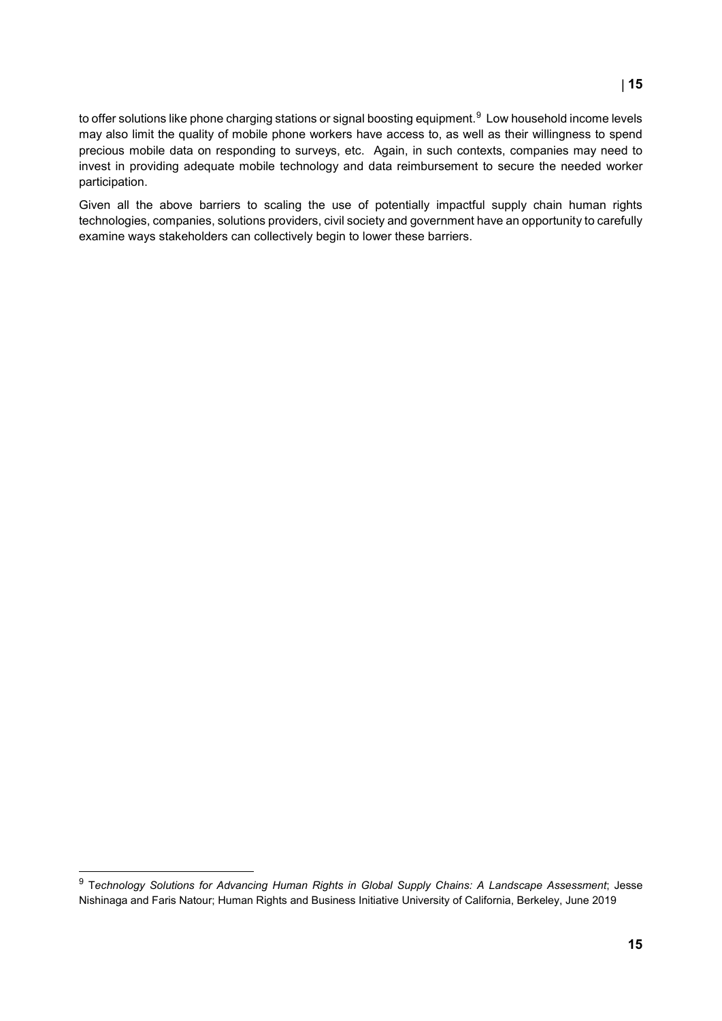to offer solutions like phone charging stations or signal boosting equipment. $^9\,$  $^9\,$  $^9\,$  Low household income levels may also limit the quality of mobile phone workers have access to, as well as their willingness to spend precious mobile data on responding to surveys, etc. Again, in such contexts, companies may need to invest in providing adequate mobile technology and data reimbursement to secure the needed worker participation.

Given all the above barriers to scaling the use of potentially impactful supply chain human rights technologies, companies, solutions providers, civil society and government have an opportunity to carefully examine ways stakeholders can collectively begin to lower these barriers.

# Draft

## | **15**

<span id="page-14-0"></span> $\overline{a}$ 9 T*echnology Solutions for Advancing Human Rights in Global Supply Chains: A Landscape Assessment*; Jesse Nishinaga and Faris Natour; Human Rights and Business Initiative University of California, Berkeley, June 2019